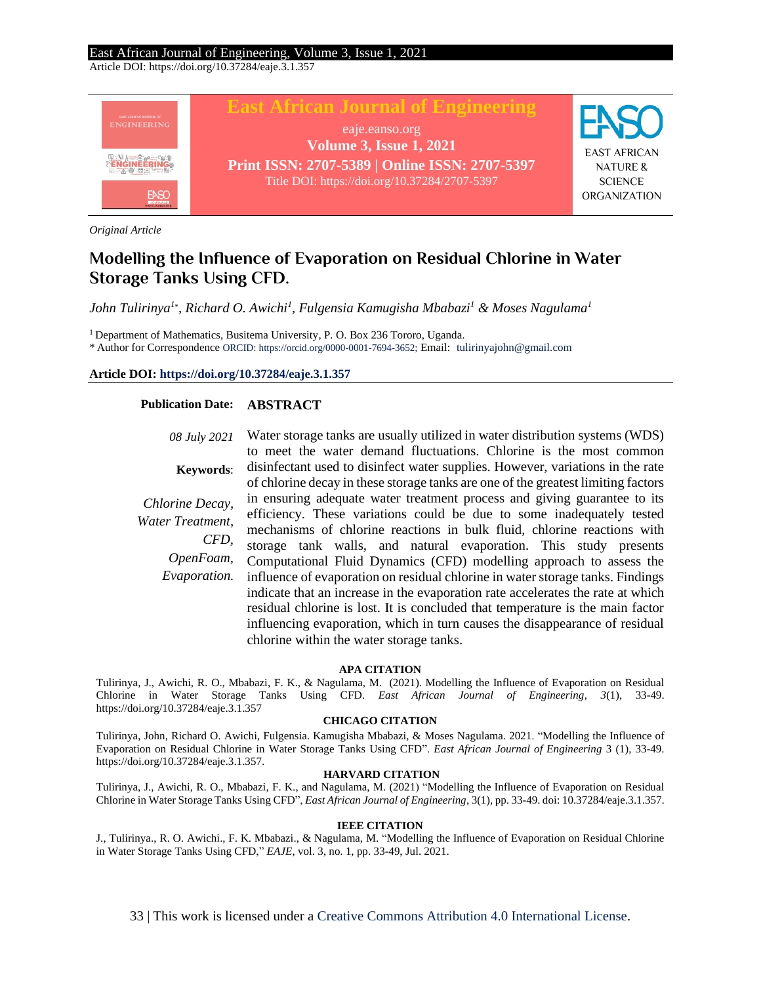Article DOI: https://doi.org/10.37284/eaje.3.1.357



*Original Article*

# **Modelling the Influence of Evaporation on Residual Chlorine in Water Storage Tanks Using CFD.**

*John Tulirinya<sup>1</sup>*\* *, Richard O. Awichi<sup>1</sup> , Fulgensia Kamugisha Mbabazi<sup>1</sup> & Moses Nagulama<sup>1</sup>*

<sup>1</sup> Department of Mathematics, Busitema University, P. O. Box 236 Tororo, Uganda.

\* Author for Correspondence ORCID: https://orcid.org/0000-0001-7694-3652; Email: [tulirinyajohn@gmail.com](mailto:smutungi@jkuat.ac.ke)

### **Article DOI[: https://doi.org/10.37284/eaje.3.1.357](https://doi.org/10.37284/eaje.3.1.357)**

## **Publication Date: ABSTRACT**

*08 July 2021* **Keywords**: *Chlorine Decay, Water Treatment, CFD, OpenFoam, Evaporation.* Water storage tanks are usually utilized in water distribution systems (WDS) to meet the water demand fluctuations. Chlorine is the most common disinfectant used to disinfect water supplies. However, variations in the rate of chlorine decay in these storage tanks are one of the greatest limiting factors in ensuring adequate water treatment process and giving guarantee to its efficiency. These variations could be due to some inadequately tested mechanisms of chlorine reactions in bulk fluid, chlorine reactions with storage tank walls, and natural evaporation. This study presents Computational Fluid Dynamics (CFD) modelling approach to assess the influence of evaporation on residual chlorine in water storage tanks. Findings indicate that an increase in the evaporation rate accelerates the rate at which residual chlorine is lost. It is concluded that temperature is the main factor influencing evaporation, which in turn causes the disappearance of residual chlorine within the water storage tanks.

### **APA CITATION**

Tulirinya, J., Awichi, R. O., Mbabazi, F. K., & Nagulama, M. (2021). Modelling the Influence of Evaporation on Residual Chlorine in Water Storage Tanks Using CFD. *East African Journal of Engineering*, *3*(1), 33-49. https://doi.org/10.37284/eaje.3.1.357

### **CHICAGO CITATION**

Tulirinya, John, Richard O. Awichi, Fulgensia. Kamugisha Mbabazi, & Moses Nagulama. 2021. "Modelling the Influence of Evaporation on Residual Chlorine in Water Storage Tanks Using CFD". *East African Journal of Engineering* 3 (1), 33-49. https://doi.org/10.37284/eaje.3.1.357.

#### **HARVARD CITATION**

Tulirinya, J., Awichi, R. O., Mbabazi, F. K., and Nagulama, M. (2021) "Modelling the Influence of Evaporation on Residual Chlorine in Water Storage Tanks Using CFD", *East African Journal of Engineering*, 3(1), pp. 33-49. doi: 10.37284/eaje.3.1.357.

### **IEEE CITATION**

J., Tulirinya., R. O. Awichi., F. K. Mbabazi., & Nagulama, M. "Modelling the Influence of Evaporation on Residual Chlorine in Water Storage Tanks Using CFD," *EAJE*, vol. 3, no. 1, pp. 33-49, Jul. 2021.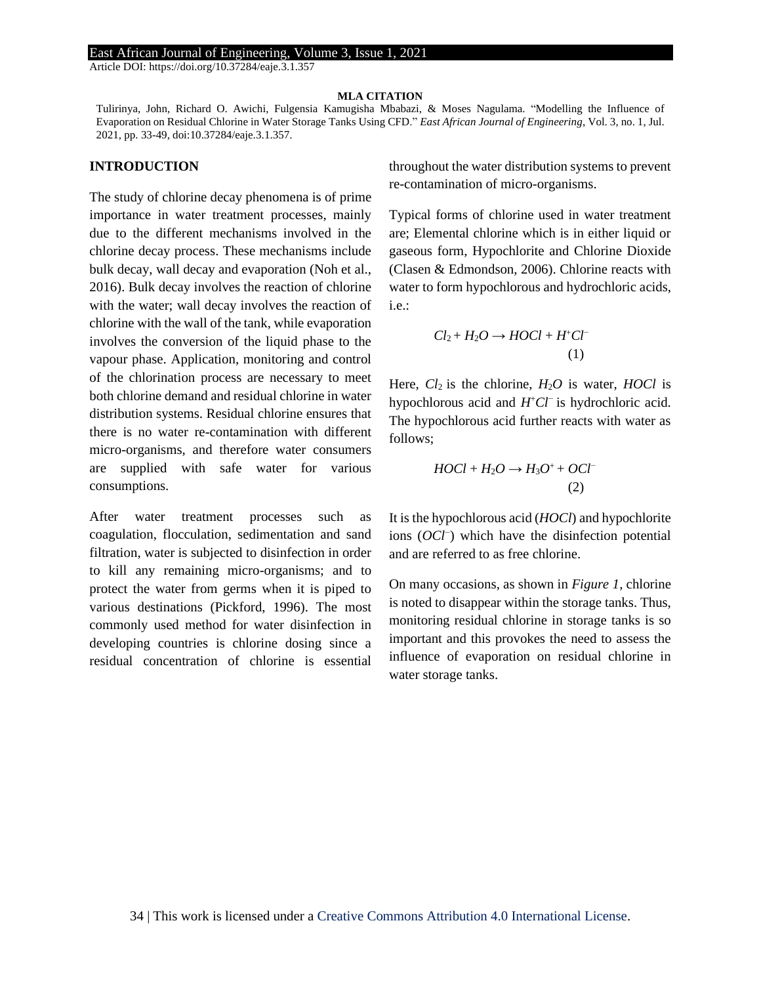#### **MLA CITATION**

Tulirinya, John, Richard O. Awichi, Fulgensia Kamugisha Mbabazi, & Moses Nagulama. "Modelling the Influence of Evaporation on Residual Chlorine in Water Storage Tanks Using CFD." *East African Journal of Engineering*, Vol. 3, no. 1, Jul. 2021, pp. 33-49, doi:10.37284/eaje.3.1.357.

### **INTRODUCTION**

The study of chlorine decay phenomena is of prime importance in water treatment processes, mainly due to the different mechanisms involved in the chlorine decay process. These mechanisms include bulk decay, wall decay and evaporation (Noh et al., 2016). Bulk decay involves the reaction of chlorine with the water; wall decay involves the reaction of chlorine with the wall of the tank, while evaporation involves the conversion of the liquid phase to the vapour phase. Application, monitoring and control of the chlorination process are necessary to meet both chlorine demand and residual chlorine in water distribution systems. Residual chlorine ensures that there is no water re-contamination with different micro-organisms, and therefore water consumers are supplied with safe water for various consumptions.

After water treatment processes such as coagulation, flocculation, sedimentation and sand filtration, water is subjected to disinfection in order to kill any remaining micro-organisms; and to protect the water from germs when it is piped to various destinations (Pickford, 1996). The most commonly used method for water disinfection in developing countries is chlorine dosing since a residual concentration of chlorine is essential throughout the water distribution systems to prevent re-contamination of micro-organisms.

Typical forms of chlorine used in water treatment are; Elemental chlorine which is in either liquid or gaseous form, Hypochlorite and Chlorine Dioxide (Clasen & Edmondson, 2006). Chlorine reacts with water to form hypochlorous and hydrochloric acids, i.e.:

$$
Cl_2 + H_2O \rightarrow HOCl + H^+Cl^-
$$
  
(1)

Here, *Cl*2 is the chlorine, *H*2*O* is water, *HOCl* is hypochlorous acid and *H*<sup>+</sup>Cl<sup>−</sup> is hydrochloric acid. The hypochlorous acid further reacts with water as follows;

$$
H O Cl + H_2 O \rightarrow H_3 O^+ + O Cl^-
$$
  
(2)

It is the hypochlorous acid (*HOCl*) and hypochlorite ions (*OCl*<sup>−</sup> ) which have the disinfection potential and are referred to as free chlorine.

On many occasions, as shown in *Figure 1*, chlorine is noted to disappear within the storage tanks. Thus, monitoring residual chlorine in storage tanks is so important and this provokes the need to assess the influence of evaporation on residual chlorine in water storage tanks.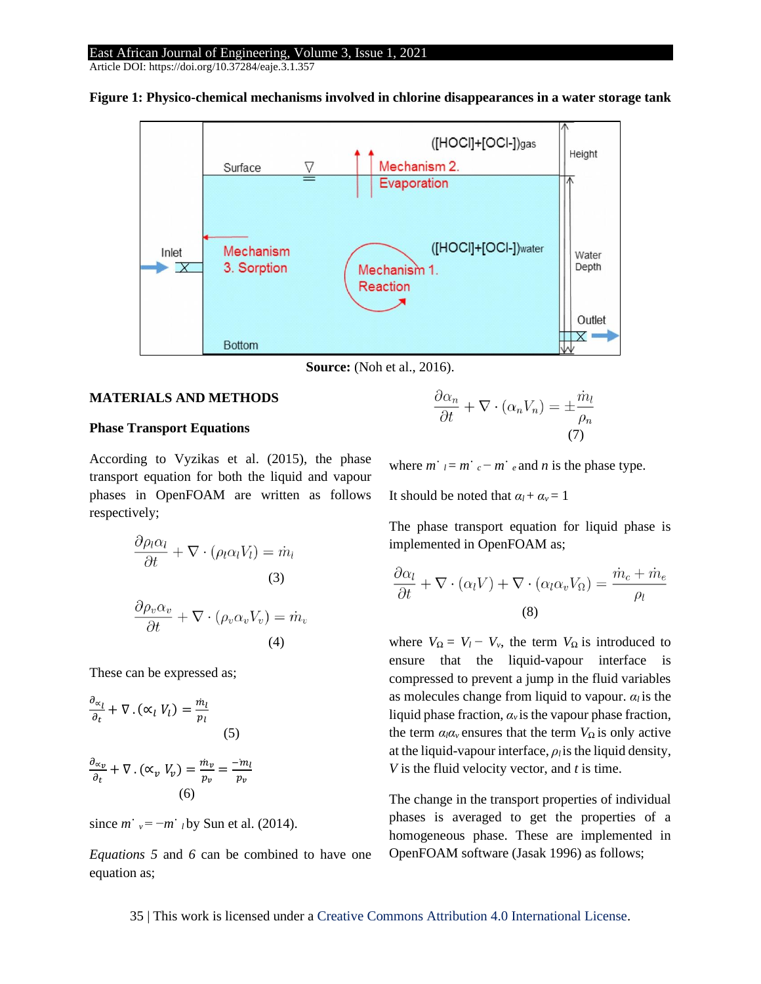Article DOI: https://doi.org/10.37284/eaje.3.1.357



**Figure 1: Physico-chemical mechanisms involved in chlorine disappearances in a water storage tank**



### **MATERIALS AND METHODS**

### **Phase Transport Equations**

According to Vyzikas et al. (2015), the phase transport equation for both the liquid and vapour phases in OpenFOAM are written as follows respectively;

$$
\frac{\partial \rho_l \alpha_l}{\partial t} + \nabla \cdot (\rho_l \alpha_l V_l) = \dot{m}_l
$$
\n(3)\n
$$
\frac{\partial \rho_v \alpha_v}{\partial t} + \nabla \cdot (\rho_v \alpha_v V_v) = \dot{m}_v
$$
\n(4)

These can be expressed as;

$$
\frac{\partial_{\alpha_l}}{\partial_t} + \nabla \cdot (\alpha_l V_l) = \frac{\dot{m}_l}{p_l}
$$
\n
$$
(5)
$$
\n
$$
\frac{\partial_{\alpha_p}}{\partial_t} + \nabla \cdot (\alpha_v V_v) = \frac{\dot{m}_v}{p_v} = \frac{-\dot{m}_l}{p_v}
$$
\n
$$
(6)
$$

since  $m^{\dagger}$   $_{v} = -m^{\dagger}$  *l* by Sun et al. (2014).

*Equations 5* and *6* can be combined to have one equation as;

$$
\frac{\partial \alpha_n}{\partial t} + \nabla \cdot (\alpha_n V_n) = \pm \frac{\dot{m}_l}{\rho_n} \tag{7}
$$

where  $m \neq n^{-1}$   $\epsilon^{-}$   $m \neq e$  and *n* is the phase type.

It should be noted that  $\alpha_l + \alpha_v = 1$ 

The phase transport equation for liquid phase is implemented in OpenFOAM as;

$$
\frac{\partial \alpha_l}{\partial t} + \nabla \cdot (\alpha_l V) + \nabla \cdot (\alpha_l \alpha_v V_{\Omega}) = \frac{\dot{m}_c + \dot{m}_e}{\rho_l}
$$
\n(8)

where  $V_{\Omega} = V_l - V_v$ , the term  $V_{\Omega}$  is introduced to ensure that the liquid-vapour interface is compressed to prevent a jump in the fluid variables as molecules change from liquid to vapour.  $\alpha_l$  is the liquid phase fraction,  $a_\nu$  is the vapour phase fraction, the term  $\alpha_l \alpha_v$  ensures that the term  $V_\Omega$  is only active at the liquid-vapour interface,  $\rho_i$  is the liquid density, *V* is the fluid velocity vector, and *t* is time.

The change in the transport properties of individual phases is averaged to get the properties of a homogeneous phase. These are implemented in OpenFOAM software (Jasak 1996) as follows;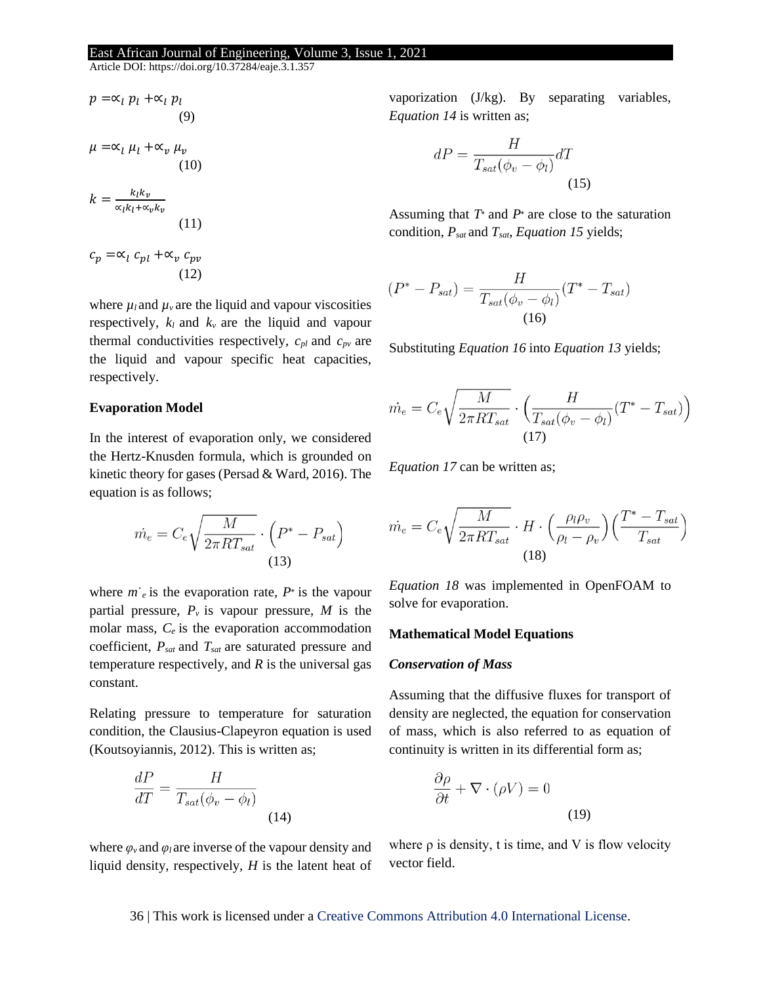Article DOI: https://doi.org/10.37284/eaje.3.1.357

$$
p = \alpha_l p_l + \alpha_l p_l
$$
  
\n(9)  
\n
$$
\mu = \alpha_l \mu_l + \alpha_v \mu_v
$$
  
\n(10)  
\n
$$
k = \frac{k_l k_v}{\alpha_l k_l + \alpha_v k_v}
$$
  
\n(11)  
\n
$$
c_p = \alpha_l c_{pl} + \alpha_v c_{pv}
$$

(12)

where  $\mu_l$  and  $\mu_\nu$  are the liquid and vapour viscosities respectively,  $k_l$  and  $k_v$  are the liquid and vapour thermal conductivities respectively,  $c_{pl}$  and  $c_{pv}$  are the liquid and vapour specific heat capacities, respectively.

### **Evaporation Model**

In the interest of evaporation only, we considered the Hertz-Knusden formula, which is grounded on kinetic theory for gases (Persad & Ward, 2016). The equation is as follows;

$$
\dot{m_e} = C_e \sqrt{\frac{M}{2\pi RT_{sat}}} \cdot \left(P^* - P_{sat}\right)
$$
\n(13)

where  $m \cdot_e$  is the evaporation rate,  $P^*$  is the vapour partial pressure,  $P_\nu$  is vapour pressure, M is the molar mass, *Ce* is the evaporation accommodation coefficient, *Psat* and *Tsat* are saturated pressure and temperature respectively, and *R* is the universal gas constant.

Relating pressure to temperature for saturation condition, the Clausius-Clapeyron equation is used (Koutsoyiannis, 2012). This is written as;

$$
\frac{dP}{dT} = \frac{H}{T_{sat}(\phi_v - \phi_l)}
$$
\n(14)

vaporization (J/kg). By separating variables, *Equation 14* is written as;

$$
dP = \frac{H}{T_{sat}(\phi_v - \phi_l)}dT
$$
\n(15)

Assuming that *T*<sup>∗</sup> and *P*<sup>∗</sup> are close to the saturation condition, *Psat* and *Tsat*, *Equation 15* yields;

$$
(P^* - P_{sat}) = \frac{H}{T_{sat}(\phi_v - \phi_l)}(T^* - T_{sat})
$$
  
(16)

Substituting *Equation 16* into *Equation 13* yields;

$$
\dot{m}_e = C_e \sqrt{\frac{M}{2\pi RT_{sat}}} \cdot \left(\frac{H}{T_{sat}(\phi_v - \phi_l)}(T^* - T_{sat})\right)
$$
\n(17)

*Equation 17* can be written as;

$$
\dot{m}_e = C_e \sqrt{\frac{M}{2\pi RT_{sat}}} \cdot H \cdot \left(\frac{\rho_l \rho_v}{\rho_l - \rho_v}\right) \left(\frac{T^* - T_{sat}}{T_{sat}}\right)
$$
\n(18)

*Equation 18* was implemented in OpenFOAM to solve for evaporation.

#### **Mathematical Model Equations**

#### *Conservation of Mass*

Assuming that the diffusive fluxes for transport of density are neglected, the equation for conservation of mass, which is also referred to as equation of continuity is written in its differential form as;

$$
\frac{\partial \rho}{\partial t} + \nabla \cdot (\rho V) = 0
$$
\n(19)

where  $\varphi$ <sup>*v*</sup> and  $\varphi$ *l* are inverse of the vapour density and liquid density, respectively, *H* is the latent heat of where  $\rho$  is density, t is time, and V is flow velocity vector field.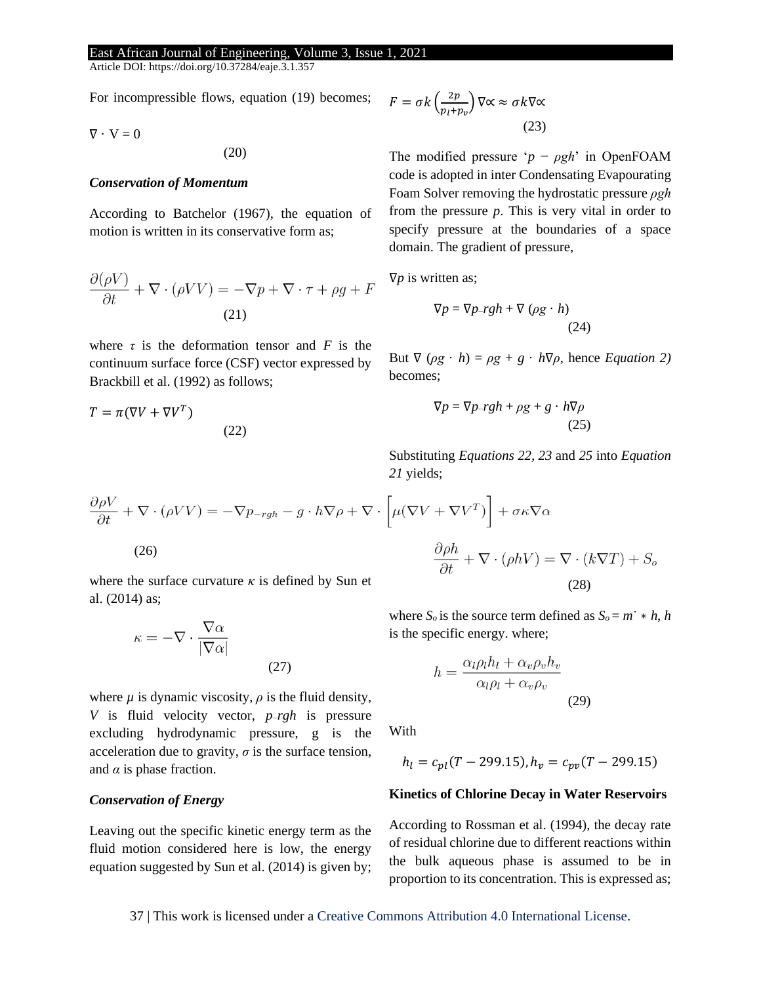Article DOI: https://doi.org/10.37284/eaje.3.1.357

For incompressible flows, equation (19) becomes;

$$
\nabla\cdot\,V=0
$$

(20)

### *Conservation of Momentum*

According to Batchelor (1967), the equation of motion is written in its conservative form as;

$$
\frac{\partial(\rho V)}{\partial t} + \nabla \cdot (\rho V V) = -\nabla p + \nabla \cdot \tau + \rho g + F
$$
\n(21)

where  $\tau$  is the deformation tensor and  $F$  is the continuum surface force (CSF) vector expressed by Brackbill et al. (1992) as follows;

$$
T = \pi(\nabla V + \nabla V^T)
$$
\n(22)

$$
F = \sigma k \left(\frac{2p}{p_l + p_v}\right) \nabla \propto \approx \sigma k \nabla \propto
$$
\n(23)

The modified pressure '*p* − *ρgh*' in OpenFOAM code is adopted in inter Condensating Evapourating Foam Solver removing the hydrostatic pressure *ρgh*  from the pressure *p*. This is very vital in order to specify pressure at the boundaries of a space domain. The gradient of pressure,

∇*p* is written as;

$$
\nabla p = \nabla p - rgh + \nabla (\rho g \cdot h)
$$
\n(24)

But  $\nabla (\rho g \cdot h) = \rho g + g \cdot h \nabla \rho$ , hence *Equation 2*) becomes;

$$
\nabla p = \nabla p - rgh + \rho g + g \cdot h \nabla \rho \tag{25}
$$

Substituting *Equations 22, 23* and *25* into *Equation 21* yields;

$$
\frac{\partial \rho V}{\partial t} + \nabla \cdot (\rho V V) = -\nabla p_{-rgh} - g \cdot h \nabla \rho + \nabla \cdot \left[ \mu (\nabla V + \nabla V^T) \right] + \sigma \kappa \nabla \alpha
$$
\n(26)\n
$$
\frac{\partial \rho h}{\partial t} + \nabla \cdot (\rho h V) = \nabla \cdot (k \nabla T) + S_c
$$
\nwhere the surface curvature  $\kappa$  is defined by Sun et\n(28)

where the surface curvature  $\kappa$  is defined by Sun et al. (2014) as;

(27)

$$
\kappa = -\nabla \cdot \frac{\nabla \alpha}{|\nabla \alpha|}
$$

where  $\mu$  is dynamic viscosity,  $\rho$  is the fluid density, *V* is fluid velocity vector, *p*−*rgh* is pressure excluding hydrodynamic pressure, g is the acceleration due to gravity,  $\sigma$  is the surface tension, and  $\alpha$  is phase fraction.

### *Conservation of Energy*

Leaving out the specific kinetic energy term as the fluid motion considered here is low, the energy equation suggested by Sun et al. (2014) is given by;

where 
$$
S_o
$$
 is the source term defined as  $S_o = m^* * h$ ,  $h$  is the specific energy. where;

$$
h = \frac{\alpha_l \rho_l h_l + \alpha_v \rho_v h_v}{\alpha_l \rho_l + \alpha_v \rho_v}
$$
\n(29)

With

$$
h_l = c_{pl}(T - 299.15), h_v = c_{pv}(T - 299.15)
$$

## **Kinetics of Chlorine Decay in Water Reservoirs**

According to Rossman et al. (1994), the decay rate of residual chlorine due to different reactions within the bulk aqueous phase is assumed to be in proportion to its concentration. This is expressed as;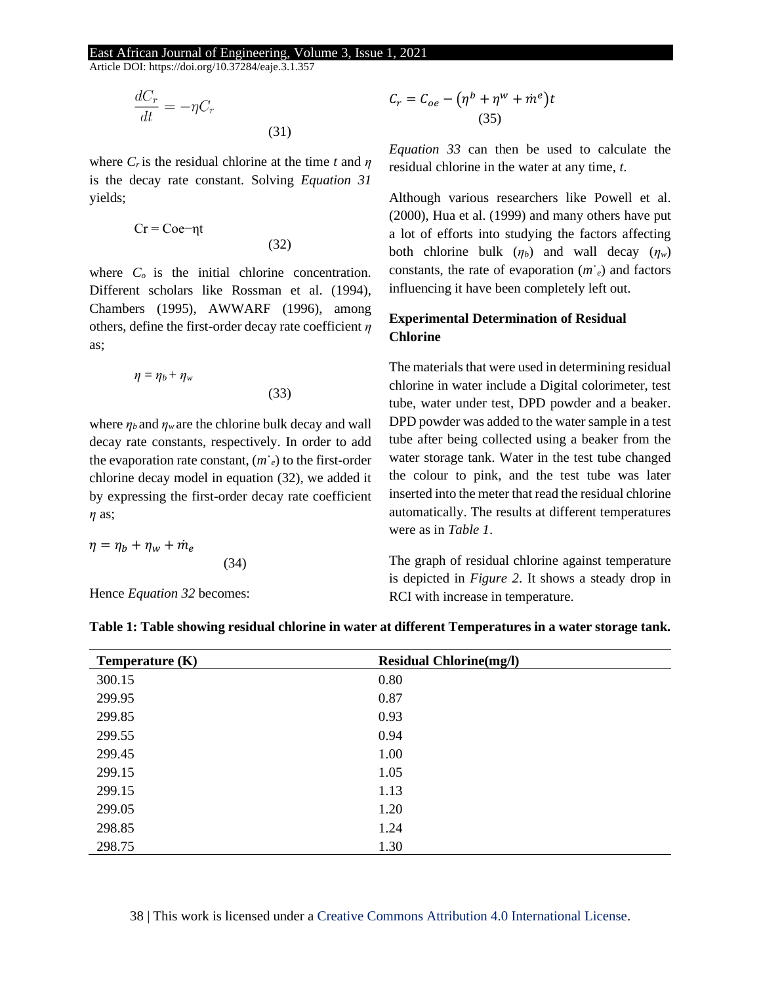(31)

(33)

Article DOI: https://doi.org/10.37284/eaje.3.1.357

$$
\frac{dC_r}{dt} = -\eta C_r
$$

where  $C_r$  is the residual chlorine at the time  $t$  and  $\eta$ is the decay rate constant. Solving *Equation 31* yields;

$$
Cr = Coe-\eta t \tag{32}
$$

where  $C<sub>o</sub>$  is the initial chlorine concentration. Different scholars like Rossman et al. (1994), Chambers (1995), AWWARF (1996), among others, define the first-order decay rate coefficient *η*  as;

$$
\eta=\eta_b+\eta_w
$$

where  $\eta_b$  and  $\eta_w$  are the chlorine bulk decay and wall decay rate constants, respectively. In order to add the evaporation rate constant,  $(m<sub>e</sub>)$  to the first-order chlorine decay model in equation (32), we added it by expressing the first-order decay rate coefficient *η* as;

(34)

$$
\eta = \eta_b + \eta_w + \dot{m}_e
$$

Hence *Equation 32* becomes:

$$
C_r = C_{oe} - (\eta^b + \eta^w + \dot{m}^e)t
$$
  
(35)

*Equation 33* can then be used to calculate the residual chlorine in the water at any time, *t*.

Although various researchers like Powell et al. (2000), Hua et al. (1999) and many others have put a lot of efforts into studying the factors affecting both chlorine bulk  $(\eta_b)$  and wall decay  $(\eta_w)$ constants, the rate of evaporation (*m*˙*e*) and factors influencing it have been completely left out.

## **Experimental Determination of Residual Chlorine**

The materials that were used in determining residual chlorine in water include a Digital colorimeter, test tube, water under test, DPD powder and a beaker. DPD powder was added to the water sample in a test tube after being collected using a beaker from the water storage tank. Water in the test tube changed the colour to pink, and the test tube was later inserted into the meter that read the residual chlorine automatically. The results at different temperatures were as in *Table 1*.

The graph of residual chlorine against temperature is depicted in *Figure 2*. It shows a steady drop in RCI with increase in temperature.

| Temperature $(K)$ | <b>Residual Chlorine(mg/l)</b> |  |
|-------------------|--------------------------------|--|
| 300.15            | 0.80                           |  |
| 299.95            | 0.87                           |  |
| 299.85            | 0.93                           |  |
| 299.55            | 0.94                           |  |
| 299.45            | 1.00                           |  |
| 299.15            | 1.05                           |  |
| 299.15            | 1.13                           |  |
| 299.05            | 1.20                           |  |
| 298.85            | 1.24                           |  |
| 298.75            | 1.30                           |  |

**Table 1: Table showing residual chlorine in water at different Temperatures in a water storage tank.**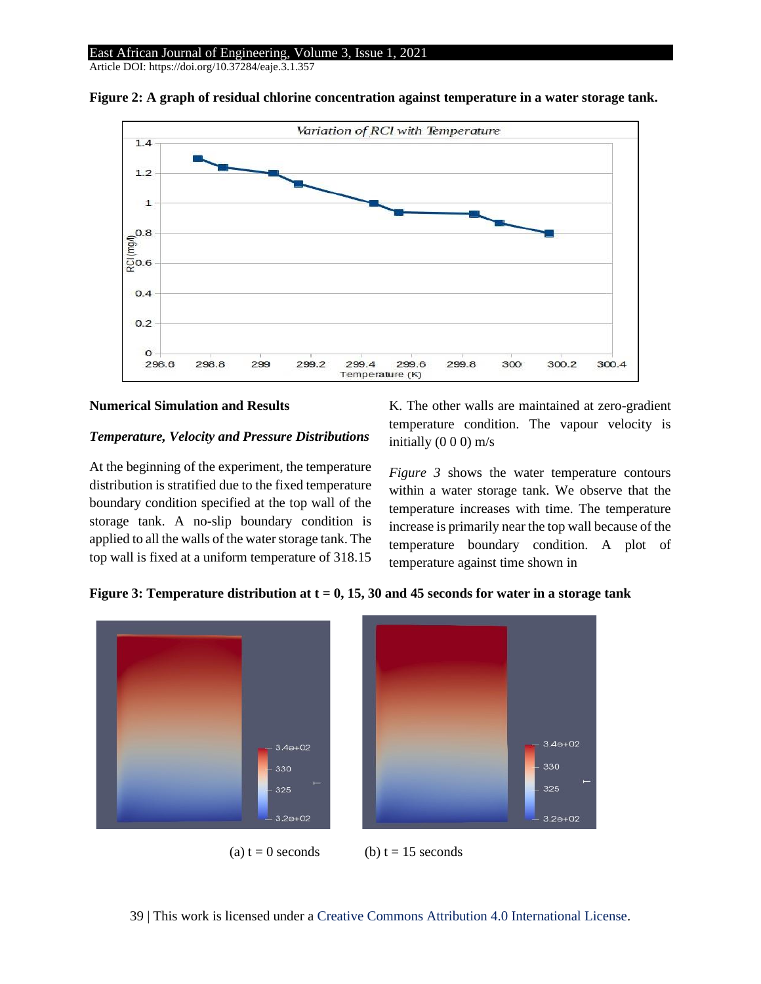Article DOI: https://doi.org/10.37284/eaje.3.1.357



**Figure 2: A graph of residual chlorine concentration against temperature in a water storage tank.**

### **Numerical Simulation and Results**

### *Temperature, Velocity and Pressure Distributions*

At the beginning of the experiment, the temperature distribution is stratified due to the fixed temperature boundary condition specified at the top wall of the storage tank. A no-slip boundary condition is applied to all the walls of the water storage tank. The top wall is fixed at a uniform temperature of 318.15 K. The other walls are maintained at zero-gradient temperature condition. The vapour velocity is initially  $(0 0 0)$  m/s

*Figure 3* shows the water temperature contours within a water storage tank. We observe that the temperature increases with time. The temperature increase is primarily near the top wall because of the temperature boundary condition. A plot of temperature against time shown in

**Figure 3: Temperature distribution at t = 0, 15, 30 and 45 seconds for water in a storage tank**

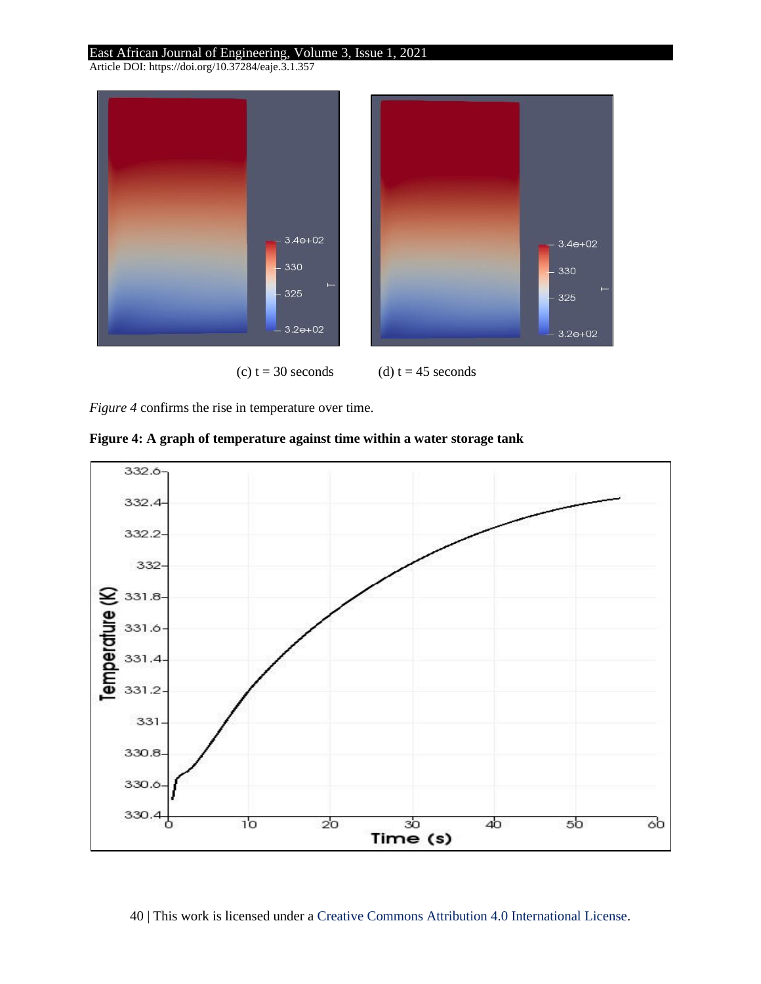Article DOI: https://doi.org/10.37284/eaje.3.1.357



(c)  $t = 30$  seconds (d)  $t = 45$  seconds

*Figure 4* confirms the rise in temperature over time.



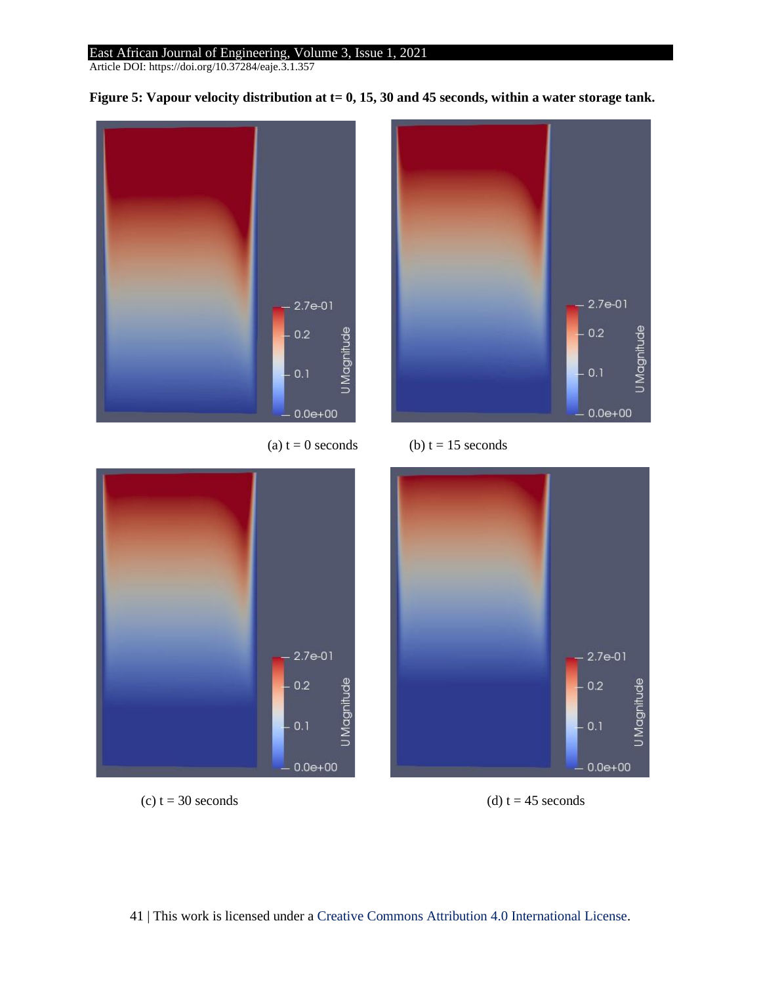Article DOI: https://doi.org/10.37284/eaje.3.1.357



Figure 5: Vapour velocity distribution at t= 0, 15, 30 and 45 seconds, within a water storage tank.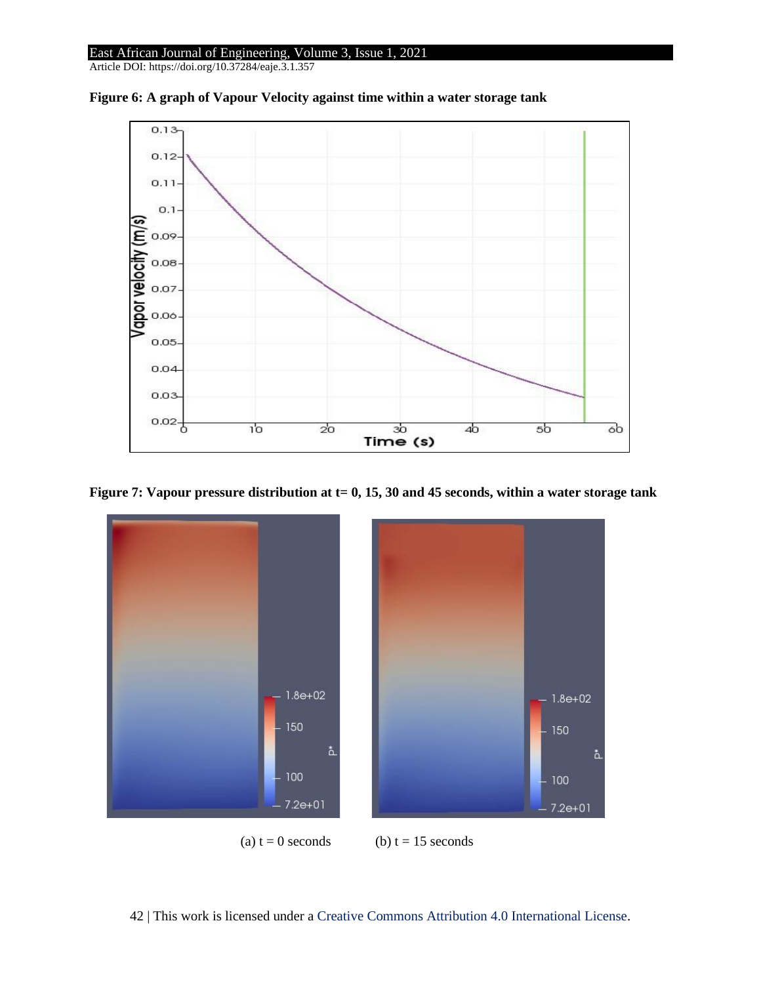

**Figure 6: A graph of Vapour Velocity against time within a water storage tank**



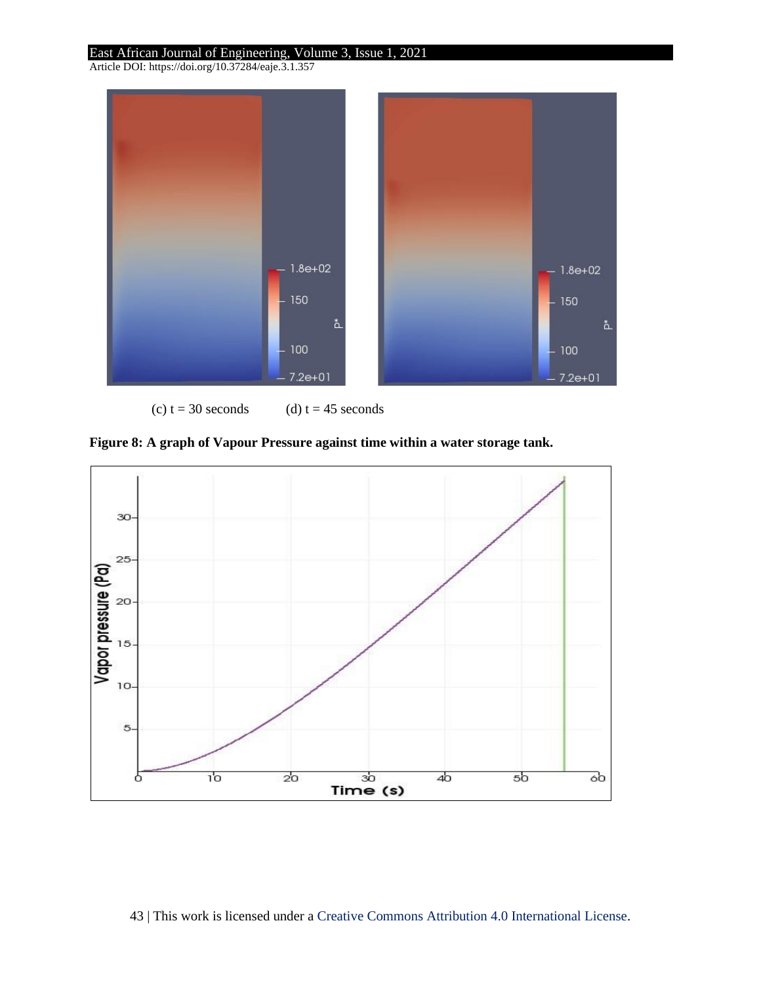Article DOI: https://doi.org/10.37284/eaje.3.1.357



(c)  $t = 30$  seconds (d)  $t = 45$  seconds

**Figure 8: A graph of Vapour Pressure against time within a water storage tank.**

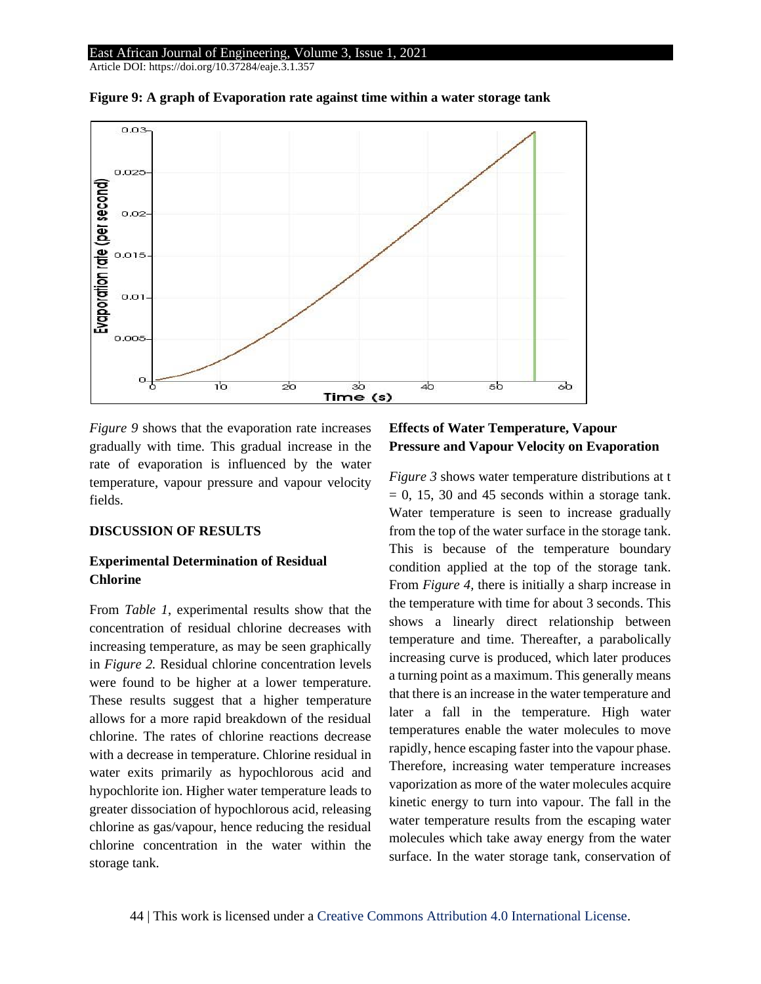

**Figure 9: A graph of Evaporation rate against time within a water storage tank**

*Figure 9* shows that the evaporation rate increases gradually with time. This gradual increase in the rate of evaporation is influenced by the water temperature, vapour pressure and vapour velocity fields.

### **DISCUSSION OF RESULTS**

## **Experimental Determination of Residual Chlorine**

From *Table 1*, experimental results show that the concentration of residual chlorine decreases with increasing temperature, as may be seen graphically in *Figure 2.* Residual chlorine concentration levels were found to be higher at a lower temperature. These results suggest that a higher temperature allows for a more rapid breakdown of the residual chlorine. The rates of chlorine reactions decrease with a decrease in temperature. Chlorine residual in water exits primarily as hypochlorous acid and hypochlorite ion. Higher water temperature leads to greater dissociation of hypochlorous acid, releasing chlorine as gas/vapour, hence reducing the residual chlorine concentration in the water within the storage tank.

## **Effects of Water Temperature, Vapour Pressure and Vapour Velocity on Evaporation**

*Figure 3* shows water temperature distributions at t  $= 0$ , 15, 30 and 45 seconds within a storage tank. Water temperature is seen to increase gradually from the top of the water surface in the storage tank. This is because of the temperature boundary condition applied at the top of the storage tank. From *Figure 4,* there is initially a sharp increase in the temperature with time for about 3 seconds. This shows a linearly direct relationship between temperature and time. Thereafter, a parabolically increasing curve is produced, which later produces a turning point as a maximum. This generally means that there is an increase in the water temperature and later a fall in the temperature. High water temperatures enable the water molecules to move rapidly, hence escaping faster into the vapour phase. Therefore, increasing water temperature increases vaporization as more of the water molecules acquire kinetic energy to turn into vapour. The fall in the water temperature results from the escaping water molecules which take away energy from the water surface. In the water storage tank, conservation of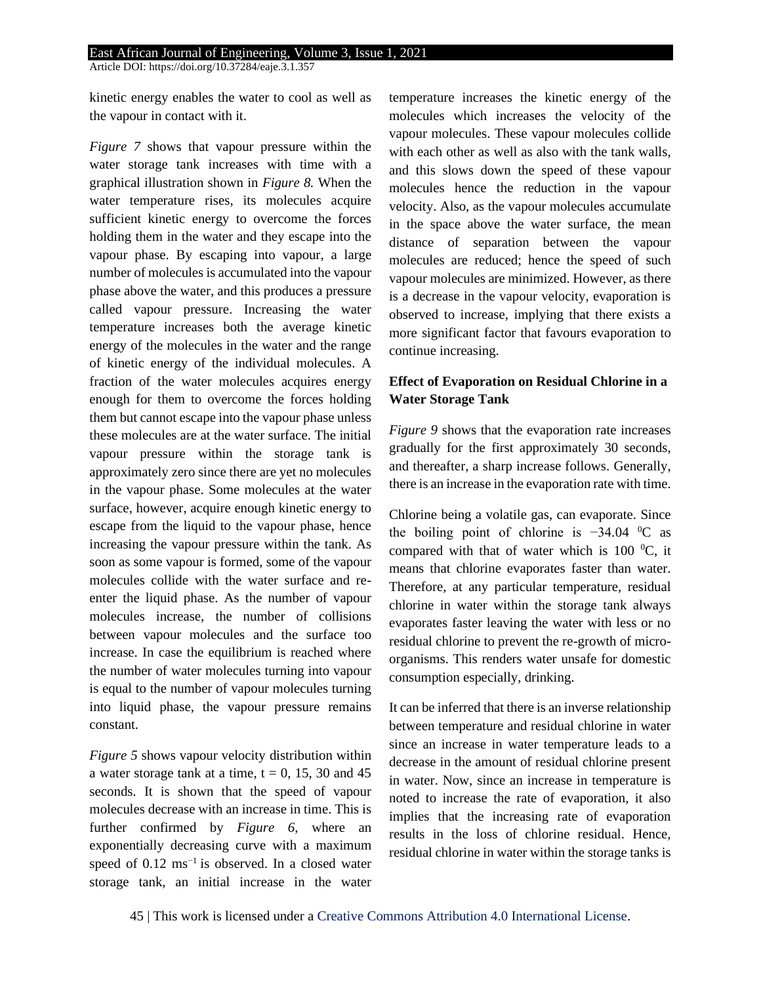kinetic energy enables the water to cool as well as the vapour in contact with it.

*Figure 7* shows that vapour pressure within the water storage tank increases with time with a graphical illustration shown in *Figure 8.* When the water temperature rises, its molecules acquire sufficient kinetic energy to overcome the forces holding them in the water and they escape into the vapour phase. By escaping into vapour, a large number of molecules is accumulated into the vapour phase above the water, and this produces a pressure called vapour pressure. Increasing the water temperature increases both the average kinetic energy of the molecules in the water and the range of kinetic energy of the individual molecules. A fraction of the water molecules acquires energy enough for them to overcome the forces holding them but cannot escape into the vapour phase unless these molecules are at the water surface. The initial vapour pressure within the storage tank is approximately zero since there are yet no molecules in the vapour phase. Some molecules at the water surface, however, acquire enough kinetic energy to escape from the liquid to the vapour phase, hence increasing the vapour pressure within the tank. As soon as some vapour is formed, some of the vapour molecules collide with the water surface and reenter the liquid phase. As the number of vapour molecules increase, the number of collisions between vapour molecules and the surface too increase. In case the equilibrium is reached where the number of water molecules turning into vapour is equal to the number of vapour molecules turning into liquid phase, the vapour pressure remains constant.

*Figure 5* shows vapour velocity distribution within a water storage tank at a time,  $t = 0$ , 15, 30 and 45 seconds. It is shown that the speed of vapour molecules decrease with an increase in time. This is further confirmed by *Figure 6,* where an exponentially decreasing curve with a maximum speed of  $0.12 \text{ ms}^{-1}$  is observed. In a closed water storage tank, an initial increase in the water temperature increases the kinetic energy of the molecules which increases the velocity of the vapour molecules. These vapour molecules collide with each other as well as also with the tank walls, and this slows down the speed of these vapour molecules hence the reduction in the vapour velocity. Also, as the vapour molecules accumulate in the space above the water surface, the mean distance of separation between the vapour molecules are reduced; hence the speed of such vapour molecules are minimized. However, as there is a decrease in the vapour velocity, evaporation is observed to increase, implying that there exists a more significant factor that favours evaporation to continue increasing.

## **Effect of Evaporation on Residual Chlorine in a Water Storage Tank**

*Figure 9* shows that the evaporation rate increases gradually for the first approximately 30 seconds, and thereafter, a sharp increase follows. Generally, there is an increase in the evaporation rate with time.

Chlorine being a volatile gas, can evaporate. Since the boiling point of chlorine is −34*.*04 <sup>0</sup>C as compared with that of water which is 100 $\,^0C$ , it means that chlorine evaporates faster than water. Therefore, at any particular temperature, residual chlorine in water within the storage tank always evaporates faster leaving the water with less or no residual chlorine to prevent the re-growth of microorganisms. This renders water unsafe for domestic consumption especially, drinking.

It can be inferred that there is an inverse relationship between temperature and residual chlorine in water since an increase in water temperature leads to a decrease in the amount of residual chlorine present in water. Now, since an increase in temperature is noted to increase the rate of evaporation, it also implies that the increasing rate of evaporation results in the loss of chlorine residual. Hence, residual chlorine in water within the storage tanks is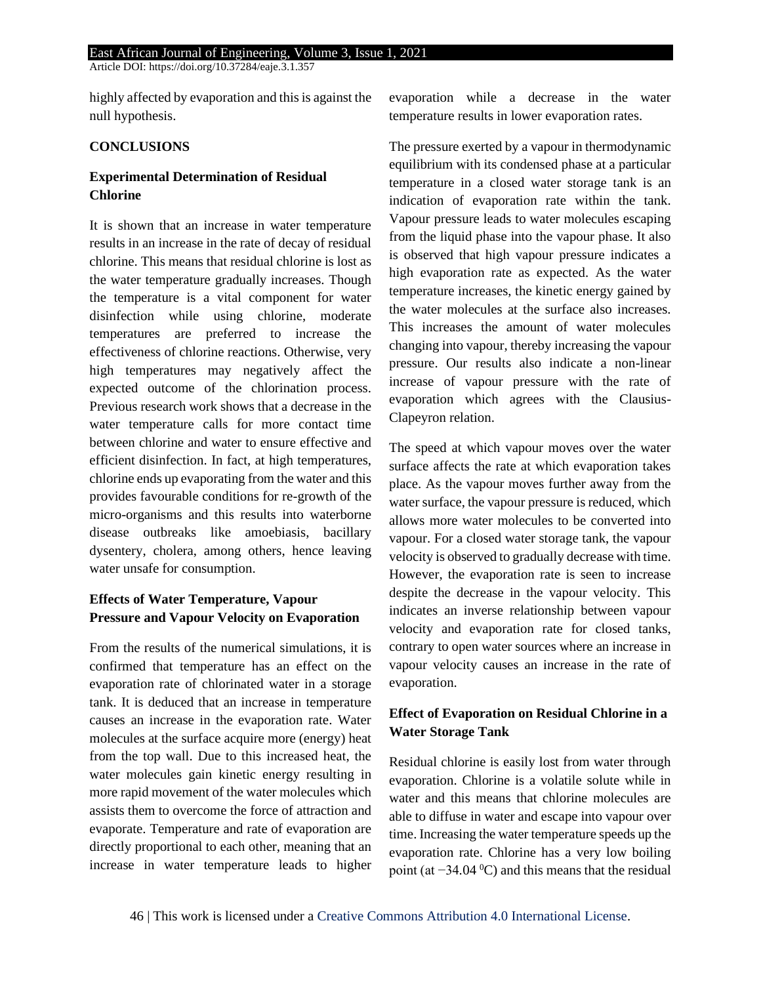highly affected by evaporation and this is against the null hypothesis.

## **CONCLUSIONS**

## **Experimental Determination of Residual Chlorine**

It is shown that an increase in water temperature results in an increase in the rate of decay of residual chlorine. This means that residual chlorine is lost as the water temperature gradually increases. Though the temperature is a vital component for water disinfection while using chlorine, moderate temperatures are preferred to increase the effectiveness of chlorine reactions. Otherwise, very high temperatures may negatively affect the expected outcome of the chlorination process. Previous research work shows that a decrease in the water temperature calls for more contact time between chlorine and water to ensure effective and efficient disinfection. In fact, at high temperatures, chlorine ends up evaporating from the water and this provides favourable conditions for re-growth of the micro-organisms and this results into waterborne disease outbreaks like amoebiasis, bacillary dysentery, cholera, among others, hence leaving water unsafe for consumption.

## **Effects of Water Temperature, Vapour Pressure and Vapour Velocity on Evaporation**

From the results of the numerical simulations, it is confirmed that temperature has an effect on the evaporation rate of chlorinated water in a storage tank. It is deduced that an increase in temperature causes an increase in the evaporation rate. Water molecules at the surface acquire more (energy) heat from the top wall. Due to this increased heat, the water molecules gain kinetic energy resulting in more rapid movement of the water molecules which assists them to overcome the force of attraction and evaporate. Temperature and rate of evaporation are directly proportional to each other, meaning that an increase in water temperature leads to higher

evaporation while a decrease in the water temperature results in lower evaporation rates.

The pressure exerted by a vapour in thermodynamic equilibrium with its condensed phase at a particular temperature in a closed water storage tank is an indication of evaporation rate within the tank. Vapour pressure leads to water molecules escaping from the liquid phase into the vapour phase. It also is observed that high vapour pressure indicates a high evaporation rate as expected. As the water temperature increases, the kinetic energy gained by the water molecules at the surface also increases. This increases the amount of water molecules changing into vapour, thereby increasing the vapour pressure. Our results also indicate a non-linear increase of vapour pressure with the rate of evaporation which agrees with the Clausius-Clapeyron relation.

The speed at which vapour moves over the water surface affects the rate at which evaporation takes place. As the vapour moves further away from the water surface, the vapour pressure is reduced, which allows more water molecules to be converted into vapour. For a closed water storage tank, the vapour velocity is observed to gradually decrease with time. However, the evaporation rate is seen to increase despite the decrease in the vapour velocity. This indicates an inverse relationship between vapour velocity and evaporation rate for closed tanks, contrary to open water sources where an increase in vapour velocity causes an increase in the rate of evaporation.

## **Effect of Evaporation on Residual Chlorine in a Water Storage Tank**

Residual chlorine is easily lost from water through evaporation. Chlorine is a volatile solute while in water and this means that chlorine molecules are able to diffuse in water and escape into vapour over time. Increasing the water temperature speeds up the evaporation rate. Chlorine has a very low boiling point (at −34*.*04 0C) and this means that the residual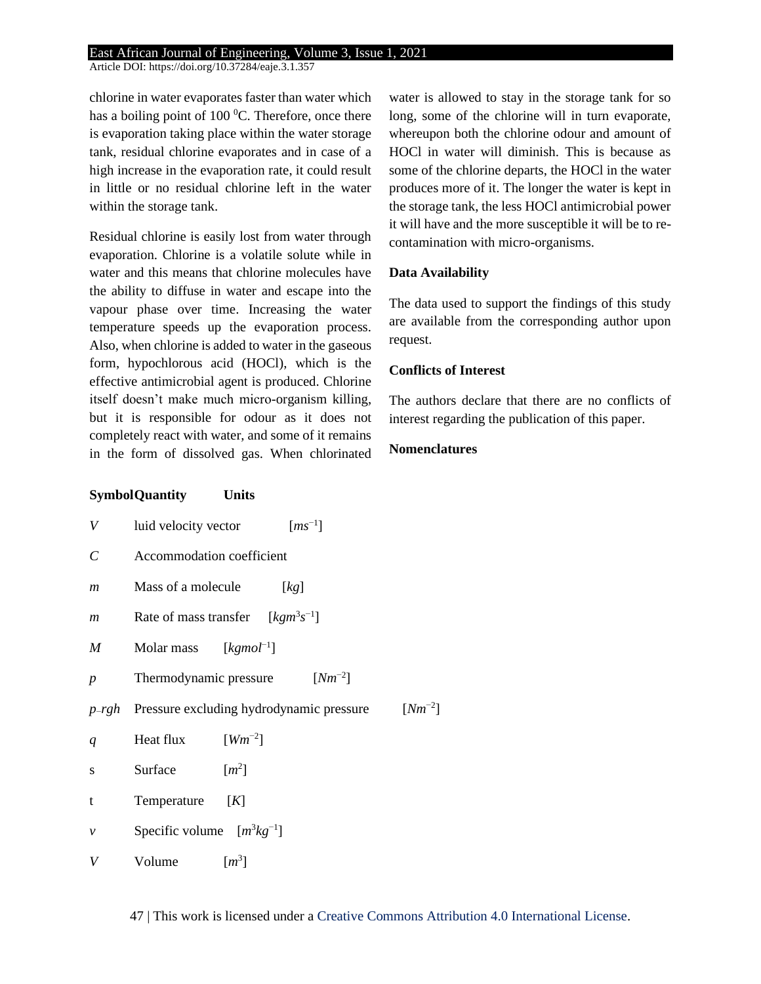Article DOI: https://doi.org/10.37284/eaje.3.1.357

chlorine in water evaporates faster than water which has a boiling point of  $100<sup>0</sup>C$ . Therefore, once there is evaporation taking place within the water storage tank, residual chlorine evaporates and in case of a high increase in the evaporation rate, it could result in little or no residual chlorine left in the water within the storage tank.

Residual chlorine is easily lost from water through evaporation. Chlorine is a volatile solute while in water and this means that chlorine molecules have the ability to diffuse in water and escape into the vapour phase over time. Increasing the water temperature speeds up the evaporation process. Also, when chlorine is added to water in the gaseous form, hypochlorous acid (HOCl), which is the effective antimicrobial agent is produced. Chlorine itself doesn't make much micro-organism killing, but it is responsible for odour as it does not completely react with water, and some of it remains in the form of dissolved gas. When chlorinated water is allowed to stay in the storage tank for so long, some of the chlorine will in turn evaporate, whereupon both the chlorine odour and amount of HOCl in water will diminish. This is because as some of the chlorine departs, the HOCl in the water produces more of it. The longer the water is kept in the storage tank, the less HOCl antimicrobial power it will have and the more susceptible it will be to recontamination with micro-organisms.

## **Data Availability**

The data used to support the findings of this study are available from the corresponding author upon request.

## **Conflicts of Interest**

The authors declare that there are no conflicts of interest regarding the publication of this paper.

## **Nomenclatures**

## **SymbolQuantity Units**

| V                |                                | luid velocity vector $[ms^{-1}]$                  |             |
|------------------|--------------------------------|---------------------------------------------------|-------------|
| $\mathcal C$     | Accommodation coefficient      |                                                   |             |
| m                | Mass of a molecule             | [kg]                                              |             |
| $\boldsymbol{m}$ |                                | Rate of mass transfer $[kgm^3s^{-1}]$             |             |
| M                | Molar mass $[kgmol^{-1}]$      |                                                   |             |
| $\boldsymbol{p}$ |                                | $[Nm^{-2}]$<br>Thermodynamic pressure             |             |
|                  |                                | $p$ -rgh Pressure excluding hydrodynamic pressure | $[Nm^{-2}]$ |
|                  |                                |                                                   |             |
| q                | Heat flux $[Wm^{-2}]$          |                                                   |             |
| S.               | Surface                        | $\lceil m^2 \rceil$                               |             |
| t                | Temperature                    | [K]                                               |             |
| ν                | Specific volume $[m^3kg^{-1}]$ |                                                   |             |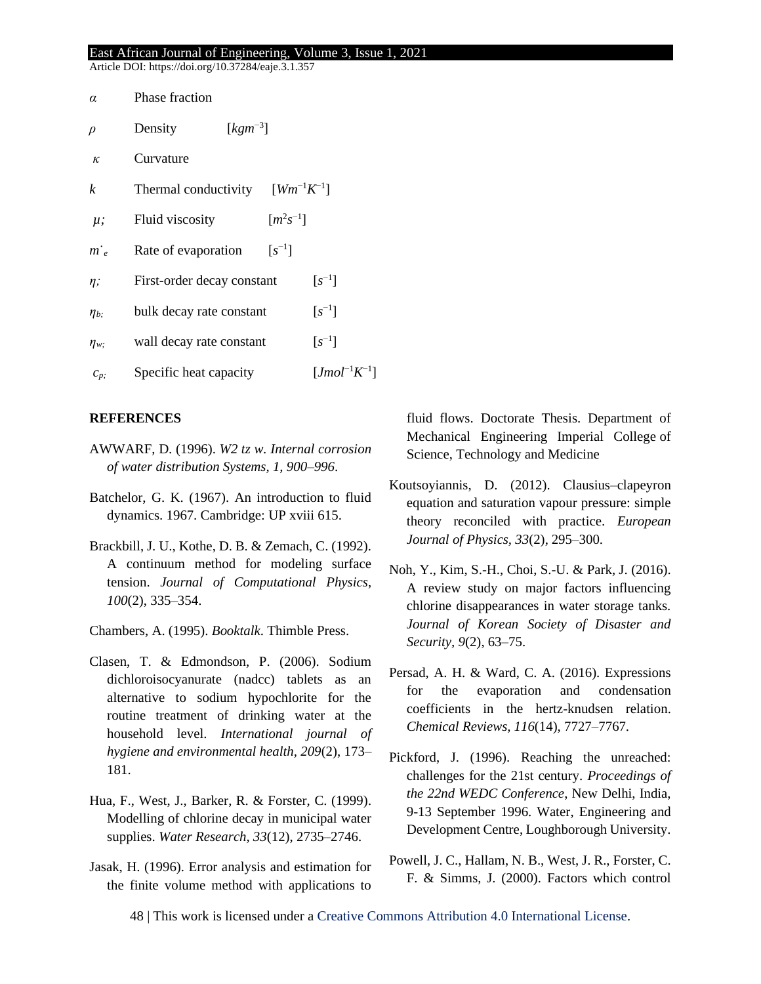Article DOI: https://doi.org/10.37284/eaje.3.1.357

| $\alpha$           | Phase fraction                                |                        |
|--------------------|-----------------------------------------------|------------------------|
| $\rho$             | $\lceil kgm^{-3} \rceil$<br>Density           |                        |
| $\kappa$           | Curvature                                     |                        |
| k                  | $[Wm^{-1}K^{-1}]$<br>Thermal conductivity     |                        |
| $\mu$ ;            | $[m^2s^{-1}]$<br>Fluid viscosity              |                        |
| $m_e$ <sup>-</sup> | $\lceil s^{-1} \rceil$<br>Rate of evaporation |                        |
| $\eta$ ;           | First-order decay constant                    | $\lceil s^{-1} \rceil$ |
| $\eta_{b;}$        | bulk decay rate constant                      | $\lceil s^{-1} \rceil$ |
| $\eta_{w;}$        | wall decay rate constant                      | $\lceil s^{-1} \rceil$ |
| $C_p$              | Specific heat capacity                        | $[Jmol-1K]$            |

### **REFERENCES**

- AWWARF, D. (1996). *W2 tz w. Internal corrosion of water distribution Systems, 1, 900–996*.
- Batchelor, G. K. (1967). An introduction to fluid dynamics. 1967. Cambridge: UP xviii 615.
- Brackbill, J. U., Kothe, D. B. & Zemach, C. (1992). A continuum method for modeling surface tension. *Journal of Computational Physics, 100*(2), 335–354.
- Chambers, A. (1995). *Booktalk*. Thimble Press.
- Clasen, T. & Edmondson, P. (2006). Sodium dichloroisocyanurate (nadcc) tablets as an alternative to sodium hypochlorite for the routine treatment of drinking water at the household level. *International journal of hygiene and environmental health, 209*(2), 173– 181.
- Hua, F., West, J., Barker, R. & Forster, C. (1999). Modelling of chlorine decay in municipal water supplies. *Water Research, 33*(12), 2735–2746.
- Jasak, H. (1996). Error analysis and estimation for the finite volume method with applications to

fluid flows. Doctorate Thesis. Department of Mechanical Engineering Imperial College of Science, Technology and Medicine

- Koutsoyiannis, D. (2012). Clausius–clapeyron equation and saturation vapour pressure: simple theory reconciled with practice. *European Journal of Physics, 33*(2), 295–300.
- Noh, Y., Kim, S.-H., Choi, S.-U. & Park, J. (2016). A review study on major factors influencing chlorine disappearances in water storage tanks. *Journal of Korean Society of Disaster and Security, 9*(2), 63–75.
- Persad, A. H. & Ward, C. A. (2016). Expressions for the evaporation and condensation coefficients in the hertz-knudsen relation. *Chemical Reviews, 116*(14), 7727–7767.
- Pickford, J. (1996). Reaching the unreached: challenges for the 21st century. *Proceedings of the 22nd WEDC Conference*, New Delhi, India, 9-13 September 1996. Water, Engineering and Development Centre, Loughborough University.
- Powell, J. C., Hallam, N. B., West, J. R., Forster, C. F. & Simms, J. (2000). Factors which control

48 | This work is licensed under a [Creative Commons Attribution 4.0 International License.](http://creativecommons.org/licenses/by/4.0/)

 $^{-1}$ ]